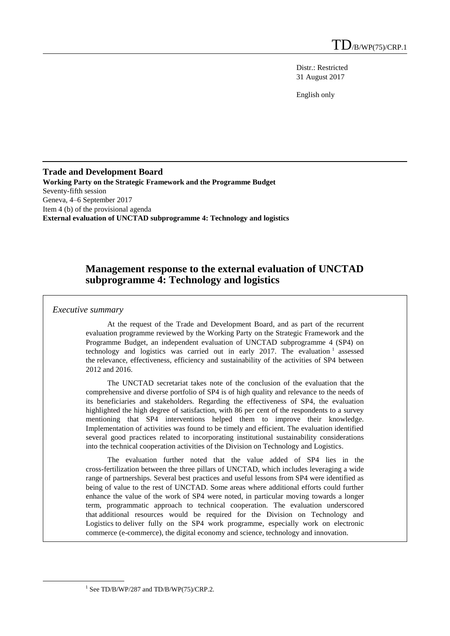Distr.: Restricted 31 August 2017

English only

#### **Trade and Development Board Working Party on the Strategic Framework and the Programme Budget** Seventy-fifth session Geneva, 4–6 September 2017 Item 4 (b) of the provisional agenda **External evaluation of UNCTAD subprogramme 4: Technology and logistics**

# **Management response to the external evaluation of UNCTAD subprogramme 4: Technology and logistics**

#### *Executive summary*

At the request of the Trade and Development Board, and as part of the recurrent evaluation programme reviewed by the Working Party on the Strategic Framework and the Programme Budget, an independent evaluation of UNCTAD subprogramme 4 (SP4) on technology and logistics was carried out in early 2017. The evaluation  $1$  assessed the relevance, effectiveness, efficiency and sustainability of the activities of SP4 between 2012 and 2016.

The UNCTAD secretariat takes note of the conclusion of the evaluation that the comprehensive and diverse portfolio of SP4 is of high quality and relevance to the needs of its beneficiaries and stakeholders. Regarding the effectiveness of SP4, the evaluation highlighted the high degree of satisfaction, with 86 per cent of the respondents to a survey mentioning that SP4 interventions helped them to improve their knowledge. Implementation of activities was found to be timely and efficient. The evaluation identified several good practices related to incorporating institutional sustainability considerations into the technical cooperation activities of the Division on Technology and Logistics.

The evaluation further noted that the value added of SP4 lies in the cross-fertilization between the three pillars of UNCTAD, which includes leveraging a wide range of partnerships. Several best practices and useful lessons from SP4 were identified as being of value to the rest of UNCTAD. Some areas where additional efforts could further enhance the value of the work of SP4 were noted, in particular moving towards a longer term, programmatic approach to technical cooperation. The evaluation underscored that additional resources would be required for the Division on Technology and Logistics to deliver fully on the SP4 work programme, especially work on electronic commerce (e-commerce), the digital economy and science, technology and innovation.

<sup>&</sup>lt;sup>1</sup> See TD/B/WP/287 and TD/B/WP(75)/CRP.2.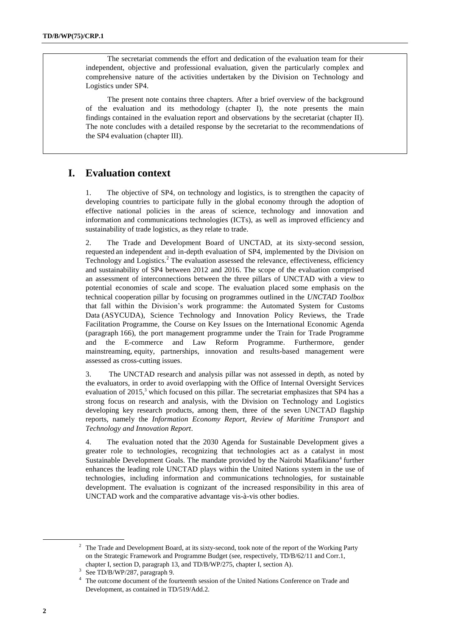The secretariat commends the effort and dedication of the evaluation team for their independent, objective and professional evaluation, given the particularly complex and comprehensive nature of the activities undertaken by the Division on Technology and Logistics under SP4.

The present note contains three chapters. After a brief overview of the background of the evaluation and its methodology (chapter I), the note presents the main findings contained in the evaluation report and observations by the secretariat (chapter II). The note concludes with a detailed response by the secretariat to the recommendations of the SP4 evaluation (chapter III).

# **I. Evaluation context**

1. The objective of SP4, on technology and logistics, is to strengthen the capacity of developing countries to participate fully in the global economy through the adoption of effective national policies in the areas of science, technology and innovation and information and communications technologies (ICTs), as well as improved efficiency and sustainability of trade logistics, as they relate to trade.

2. The Trade and Development Board of UNCTAD, at its sixty-second session, requested an independent and in-depth evaluation of SP4, implemented by the Division on Technology and Logistics.<sup>2</sup> The evaluation assessed the relevance, effectiveness, efficiency and sustainability of SP4 between 2012 and 2016. The scope of the evaluation comprised an assessment of interconnections between the three pillars of UNCTAD with a view to potential economies of scale and scope. The evaluation placed some emphasis on the technical cooperation pillar by focusing on programmes outlined in the *UNCTAD Toolbox* that fall within the Division's work programme: the Automated System for Customs Data (ASYCUDA), Science Technology and Innovation Policy Reviews, the Trade Facilitation Programme, the Course on Key Issues on the International Economic Agenda (paragraph 166), the port management programme under the Train for Trade Programme and the E-commerce and Law Reform Programme. Furthermore, gender mainstreaming, equity, partnerships, innovation and results-based management were assessed as cross-cutting issues.

3. The UNCTAD research and analysis pillar was not assessed in depth, as noted by the evaluators, in order to avoid overlapping with the Office of Internal Oversight Services evaluation of 2015,<sup>3</sup> which focused on this pillar. The secretariat emphasizes that SP4 has a strong focus on research and analysis, with the Division on Technology and Logistics developing key research products, among them, three of the seven UNCTAD flagship reports, namely the *Information Economy Report*, *Review of Maritime Transport* and *Technology and Innovation Report*.

4. The evaluation noted that the 2030 Agenda for Sustainable Development gives a greater role to technologies, recognizing that technologies act as a catalyst in most Sustainable Development Goals. The mandate provided by the Nairobi Maafikiano<sup>4</sup> further enhances the leading role UNCTAD plays within the United Nations system in the use of technologies, including information and communications technologies, for sustainable development. The evaluation is cognizant of the increased responsibility in this area of UNCTAD work and the comparative advantage vis-à-vis other bodies.

<sup>&</sup>lt;sup>2</sup> The Trade and Development Board, at its sixty-second, took note of the report of the Working Party on the Strategic Framework and Programme Budget (see, respectively, TD/B/62/11 and Corr.1, chapter I, section D, paragraph 13, and TD/B/WP/275, chapter I, section A).

<sup>3</sup> See TD/B/WP/287, paragraph 9.

<sup>&</sup>lt;sup>4</sup> The outcome document of the fourteenth session of the United Nations Conference on Trade and Development, as contained in TD/519/Add.2.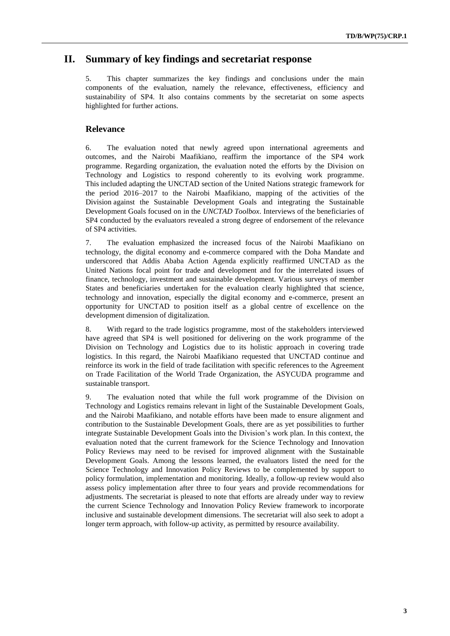### **II. Summary of key findings and secretariat response**

5. This chapter summarizes the key findings and conclusions under the main components of the evaluation, namely the relevance, effectiveness, efficiency and sustainability of SP4. It also contains comments by the secretariat on some aspects highlighted for further actions.

#### **Relevance**

6. The evaluation noted that newly agreed upon international agreements and outcomes, and the Nairobi Maafikiano, reaffirm the importance of the SP4 work programme. Regarding organization, the evaluation noted the efforts by the Division on Technology and Logistics to respond coherently to its evolving work programme. This included adapting the UNCTAD section of the United Nations strategic framework for the period 2016–2017 to the Nairobi Maafikiano, mapping of the activities of the Division against the Sustainable Development Goals and integrating the Sustainable Development Goals focused on in the *UNCTAD Toolbox*. Interviews of the beneficiaries of SP4 conducted by the evaluators revealed a strong degree of endorsement of the relevance of SP4 activities.

7. The evaluation emphasized the increased focus of the Nairobi Maafikiano on technology, the digital economy and e-commerce compared with the Doha Mandate and underscored that Addis Ababa Action Agenda explicitly reaffirmed UNCTAD as the United Nations focal point for trade and development and for the interrelated issues of finance, technology, investment and sustainable development. Various surveys of member States and beneficiaries undertaken for the evaluation clearly highlighted that science, technology and innovation, especially the digital economy and e-commerce, present an opportunity for UNCTAD to position itself as a global centre of excellence on the development dimension of digitalization.

8. With regard to the trade logistics programme, most of the stakeholders interviewed have agreed that SP4 is well positioned for delivering on the work programme of the Division on Technology and Logistics due to its holistic approach in covering trade logistics. In this regard, the Nairobi Maafikiano requested that UNCTAD continue and reinforce its work in the field of trade facilitation with specific references to the Agreement on Trade Facilitation of the World Trade Organization, the ASYCUDA programme and sustainable transport.

9. The evaluation noted that while the full work programme of the Division on Technology and Logistics remains relevant in light of the Sustainable Development Goals, and the Nairobi Maafikiano, and notable efforts have been made to ensure alignment and contribution to the Sustainable Development Goals, there are as yet possibilities to further integrate Sustainable Development Goals into the Division's work plan. In this context, the evaluation noted that the current framework for the Science Technology and Innovation Policy Reviews may need to be revised for improved alignment with the Sustainable Development Goals. Among the lessons learned, the evaluators listed the need for the Science Technology and Innovation Policy Reviews to be complemented by support to policy formulation, implementation and monitoring. Ideally, a follow-up review would also assess policy implementation after three to four years and provide recommendations for adjustments. The secretariat is pleased to note that efforts are already under way to review the current Science Technology and Innovation Policy Review framework to incorporate inclusive and sustainable development dimensions. The secretariat will also seek to adopt a longer term approach, with follow-up activity, as permitted by resource availability.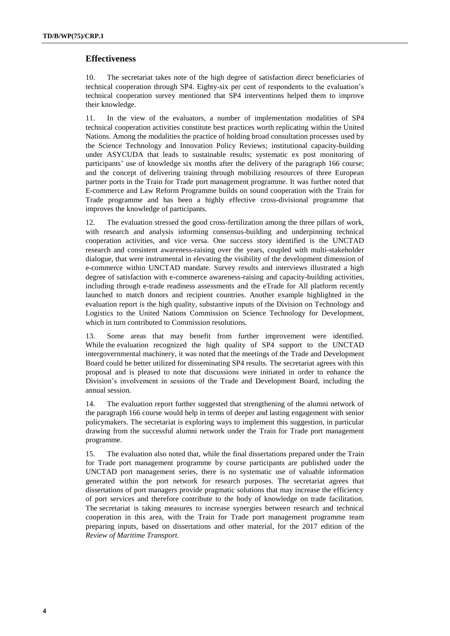#### **Effectiveness**

10. The secretariat takes note of the high degree of satisfaction direct beneficiaries of technical cooperation through SP4. Eighty-six per cent of respondents to the evaluation's technical cooperation survey mentioned that SP4 interventions helped them to improve their knowledge.

11. In the view of the evaluators, a number of implementation modalities of SP4 technical cooperation activities constitute best practices worth replicating within the United Nations. Among the modalities the practice of holding broad consultation processes used by the Science Technology and Innovation Policy Reviews; institutional capacity-building under ASYCUDA that leads to sustainable results; systematic ex post monitoring of participants' use of knowledge six months after the delivery of the paragraph 166 course; and the concept of delivering training through mobilizing resources of three European partner ports in the Train for Trade port management programme. It was further noted that E-commerce and Law Reform Programme builds on sound cooperation with the Train for Trade programme and has been a highly effective cross-divisional programme that improves the knowledge of participants.

12. The evaluation stressed the good cross-fertilization among the three pillars of work, with research and analysis informing consensus-building and underpinning technical cooperation activities, and vice versa. One success story identified is the UNCTAD research and consistent awareness-raising over the years, coupled with multi-stakeholder dialogue, that were instrumental in elevating the visibility of the development dimension of e-commerce within UNCTAD mandate. Survey results and interviews illustrated a high degree of satisfaction with e-commerce awareness-raising and capacity-building activities, including through e-trade readiness assessments and the eTrade for All platform recently launched to match donors and recipient countries. Another example highlighted in the evaluation report is the high quality, substantive inputs of the Division on Technology and Logistics to the United Nations Commission on Science Technology for Development, which in turn contributed to Commission resolutions.

13. Some areas that may benefit from further improvement were identified. While the evaluation recognized the high quality of SP4 support to the UNCTAD intergovernmental machinery, it was noted that the meetings of the Trade and Development Board could be better utilized for disseminating SP4 results. The secretariat agrees with this proposal and is pleased to note that discussions were initiated in order to enhance the Division's involvement in sessions of the Trade and Development Board, including the annual session.

14. The evaluation report further suggested that strengthening of the alumni network of the paragraph 166 course would help in terms of deeper and lasting engagement with senior policymakers. The secretariat is exploring ways to implement this suggestion, in particular drawing from the successful alumni network under the Train for Trade port management programme.

15. The evaluation also noted that, while the final dissertations prepared under the Train for Trade port management programme by course participants are published under the UNCTAD port management series, there is no systematic use of valuable information generated within the port network for research purposes. The secretariat agrees that dissertations of port managers provide pragmatic solutions that may increase the efficiency of port services and therefore contribute to the body of knowledge on trade facilitation. The secretariat is taking measures to increase synergies between research and technical cooperation in this area, with the Train for Trade port management programme team preparing inputs, based on dissertations and other material, for the 2017 edition of the *Review of Maritime Transport*.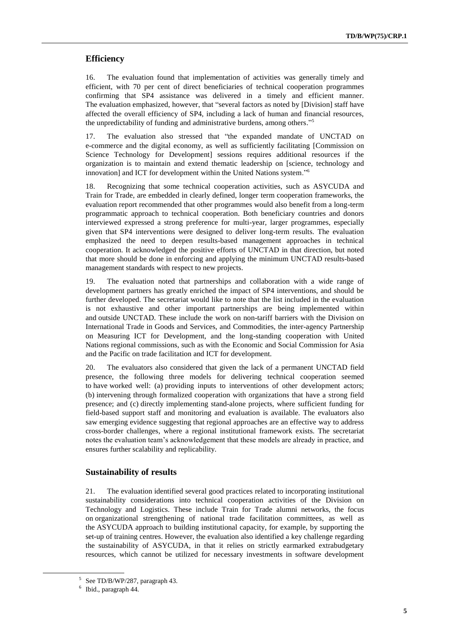### **Efficiency**

16. The evaluation found that implementation of activities was generally timely and efficient, with 70 per cent of direct beneficiaries of technical cooperation programmes confirming that SP4 assistance was delivered in a timely and efficient manner. The evaluation emphasized, however, that "several factors as noted by [Division] staff have affected the overall efficiency of SP4, including a lack of human and financial resources, the unpredictability of funding and administrative burdens, among others." 5

17. The evaluation also stressed that "the expanded mandate of UNCTAD on e-commerce and the digital economy, as well as sufficiently facilitating [Commission on Science Technology for Development] sessions requires additional resources if the organization is to maintain and extend thematic leadership on [science, technology and innovation] and ICT for development within the United Nations system."<sup>6</sup>

18. Recognizing that some technical cooperation activities, such as ASYCUDA and Train for Trade, are embedded in clearly defined, longer term cooperation frameworks, the evaluation report recommended that other programmes would also benefit from a long-term programmatic approach to technical cooperation. Both beneficiary countries and donors interviewed expressed a strong preference for multi-year, larger programmes, especially given that SP4 interventions were designed to deliver long-term results. The evaluation emphasized the need to deepen results-based management approaches in technical cooperation. It acknowledged the positive efforts of UNCTAD in that direction, but noted that more should be done in enforcing and applying the minimum UNCTAD results-based management standards with respect to new projects.

19. The evaluation noted that partnerships and collaboration with a wide range of development partners has greatly enriched the impact of SP4 interventions, and should be further developed. The secretariat would like to note that the list included in the evaluation is not exhaustive and other important partnerships are being implemented within and outside UNCTAD. These include the work on non-tariff barriers with the Division on International Trade in Goods and Services, and Commodities, the inter-agency Partnership on Measuring ICT for Development, and the long-standing cooperation with United Nations regional commissions, such as with the Economic and Social Commission for Asia and the Pacific on trade facilitation and ICT for development.

20. The evaluators also considered that given the lack of a permanent UNCTAD field presence, the following three models for delivering technical cooperation seemed to have worked well: (a) providing inputs to interventions of other development actors; (b) intervening through formalized cooperation with organizations that have a strong field presence; and (c) directly implementing stand-alone projects, where sufficient funding for field-based support staff and monitoring and evaluation is available. The evaluators also saw emerging evidence suggesting that regional approaches are an effective way to address cross-border challenges, where a regional institutional framework exists. The secretariat notes the evaluation team's acknowledgement that these models are already in practice, and ensures further scalability and replicability.

#### **Sustainability of results**

21. The evaluation identified several good practices related to incorporating institutional sustainability considerations into technical cooperation activities of the Division on Technology and Logistics. These include Train for Trade alumni networks, the focus on organizational strengthening of national trade facilitation committees, as well as the ASYCUDA approach to building institutional capacity, for example, by supporting the set-up of training centres. However, the evaluation also identified a key challenge regarding the sustainability of ASYCUDA, in that it relies on strictly earmarked extrabudgetary resources, which cannot be utilized for necessary investments in software development

<sup>5</sup> See TD/B/WP/287, paragraph 43.

<sup>6</sup> Ibid., paragraph 44.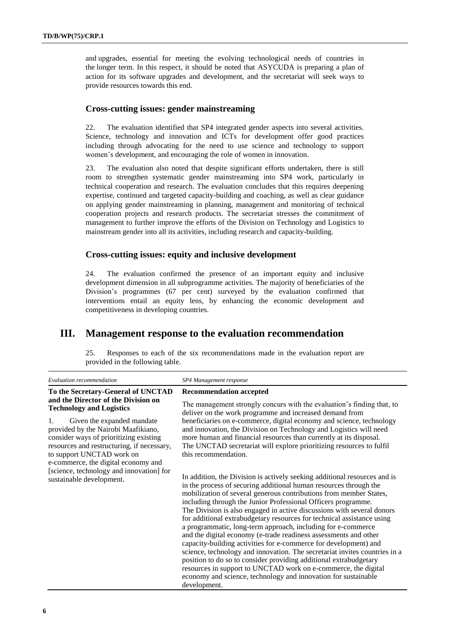and upgrades, essential for meeting the evolving technological needs of countries in the longer term. In this respect, it should be noted that ASYCUDA is preparing a plan of action for its software upgrades and development, and the secretariat will seek ways to provide resources towards this end.

### **Cross-cutting issues: gender mainstreaming**

22. The evaluation identified that SP4 integrated gender aspects into several activities. Science, technology and innovation and ICTs for development offer good practices including through advocating for the need to use science and technology to support women's development, and encouraging the role of women in innovation.

23. The evaluation also noted that despite significant efforts undertaken, there is still room to strengthen systematic gender mainstreaming into SP4 work, particularly in technical cooperation and research. The evaluation concludes that this requires deepening expertise, continued and targeted capacity-building and coaching, as well as clear guidance on applying gender mainstreaming in planning, management and monitoring of technical cooperation projects and research products. The secretariat stresses the commitment of management to further improve the efforts of the Division on Technology and Logistics to mainstream gender into all its activities, including research and capacity-building.

#### **Cross-cutting issues: equity and inclusive development**

24. The evaluation confirmed the presence of an important equity and inclusive development dimension in all subprogramme activities. The majority of beneficiaries of the Division's programmes (67 per cent) surveyed by the evaluation confirmed that interventions entail an equity lens, by enhancing the economic development and competitiveness in developing countries.

## **III. Management response to the evaluation recommendation**

25. Responses to each of the six recommendations made in the evaluation report are provided in the following table.

| Evaluation recommendation                                                                                                                                                                                                                                                                                                                           | SP4 Management response                                                                                                                                                                                                                                                                                                                                                                                                                                                                                                                                                                                                                                                                                                                                                                                                                                                                                                                                  |
|-----------------------------------------------------------------------------------------------------------------------------------------------------------------------------------------------------------------------------------------------------------------------------------------------------------------------------------------------------|----------------------------------------------------------------------------------------------------------------------------------------------------------------------------------------------------------------------------------------------------------------------------------------------------------------------------------------------------------------------------------------------------------------------------------------------------------------------------------------------------------------------------------------------------------------------------------------------------------------------------------------------------------------------------------------------------------------------------------------------------------------------------------------------------------------------------------------------------------------------------------------------------------------------------------------------------------|
| To the Secretary-General of UNCTAD<br>and the Director of the Division on<br><b>Technology and Logistics</b><br>1.<br>Given the expanded mandate<br>provided by the Nairobi Maafikiano,<br>consider ways of prioritizing existing<br>resources and restructuring, if necessary,<br>to support UNCTAD work on<br>e-commerce, the digital economy and | <b>Recommendation accepted</b>                                                                                                                                                                                                                                                                                                                                                                                                                                                                                                                                                                                                                                                                                                                                                                                                                                                                                                                           |
|                                                                                                                                                                                                                                                                                                                                                     | The management strongly concurs with the evaluation's finding that, to<br>deliver on the work programme and increased demand from                                                                                                                                                                                                                                                                                                                                                                                                                                                                                                                                                                                                                                                                                                                                                                                                                        |
|                                                                                                                                                                                                                                                                                                                                                     | beneficiaries on e-commerce, digital economy and science, technology<br>and innovation, the Division on Technology and Logistics will need<br>more human and financial resources than currently at its disposal.<br>The UNCTAD secretariat will explore prioritizing resources to fulfil<br>this recommendation.                                                                                                                                                                                                                                                                                                                                                                                                                                                                                                                                                                                                                                         |
| [science, technology and innovation] for<br>sustainable development.                                                                                                                                                                                                                                                                                | In addition, the Division is actively seeking additional resources and is<br>in the process of securing additional human resources through the<br>mobilization of several generous contributions from member States,<br>including through the Junior Professional Officers programme.<br>The Division is also engaged in active discussions with several donors<br>for additional extrabudgetary resources for technical assistance using<br>a programmatic, long-term approach, including for e-commerce<br>and the digital economy (e-trade readiness assessments and other<br>capacity-building activities for e-commerce for development) and<br>science, technology and innovation. The secretariat invites countries in a<br>position to do so to consider providing additional extrabudgetary<br>resources in support to UNCTAD work on e-commerce, the digital<br>economy and science, technology and innovation for sustainable<br>development. |